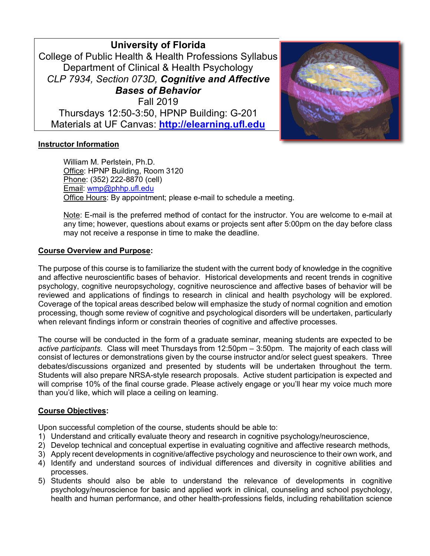**University of Florida** College of Public Health & Health Professions Syllabus Department of Clinical & Health Psychology *CLP 7934, Section 073D, Cognitive and Affective Bases of Behavior* Fall 2019 Thursdays 12:50-3:50, HPNP Building: G-201 Materials at UF Canvas: **http://elearning.ufl.edu**



## **Instructor Information**

William M. Perlstein, Ph.D. Office: HPNP Building, Room 3120 Phone: (352) 222-8870 (cell) Email: wmp@phhp.ufl.edu Office Hours: By appointment; please e-mail to schedule a meeting.

Note: E-mail is the preferred method of contact for the instructor. You are welcome to e-mail at any time; however, questions about exams or projects sent after 5:00pm on the day before class may not receive a response in time to make the deadline.

### **Course Overview and Purpose:**

The purpose of this course is to familiarize the student with the current body of knowledge in the cognitive and affective neuroscientific bases of behavior. Historical developments and recent trends in cognitive psychology, cognitive neuropsychology, cognitive neuroscience and affective bases of behavior will be reviewed and applications of findings to research in clinical and health psychology will be explored. Coverage of the topical areas described below will emphasize the study of normal cognition and emotion processing, though some review of cognitive and psychological disorders will be undertaken, particularly when relevant findings inform or constrain theories of cognitive and affective processes.

The course will be conducted in the form of a graduate seminar, meaning students are expected to be *active participants*. Class will meet Thursdays from 12:50pm – 3:50pm. The majority of each class will consist of lectures or demonstrations given by the course instructor and/or select guest speakers. Three debates/discussions organized and presented by students will be undertaken throughout the term. Students will also prepare NRSA-style research proposals. Active student participation is expected and will comprise 10% of the final course grade. Please actively engage or you'll hear my voice much more than you'd like, which will place a ceiling on learning.

### **Course Objectives:**

Upon successful completion of the course, students should be able to:

- 1) Understand and critically evaluate theory and research in cognitive psychology/neuroscience,
- 2) Develop technical and conceptual expertise in evaluating cognitive and affective research methods,
- 3) Apply recent developments in cognitive/affective psychology and neuroscience to their own work, and
- 4) Identify and understand sources of individual differences and diversity in cognitive abilities and processes.
- 5) Students should also be able to understand the relevance of developments in cognitive psychology/neuroscience for basic and applied work in clinical, counseling and school psychology, health and human performance, and other health-professions fields, including rehabilitation science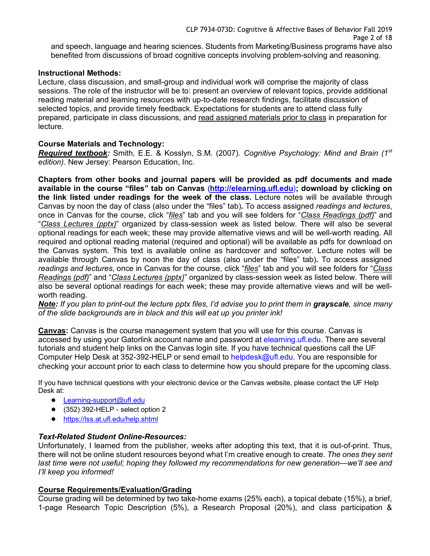CLP 7934-073D: Cognitive & Affective Bases of Behavior Fall 2019 Page 2 of 18 and speech, language and hearing sciences. Students from Marketing/Business programs have also benefited from discussions of broad cognitive concepts involving problem-solving and reasoning.

### **Instructional Methods:**

Lecture, class discussion, and small-group and individual work will comprise the majority of class sessions. The role of the instructor will be to: present an overview of relevant topics, provide additional reading material and learning resources with up-to-date research findings, facilitate discussion of selected topics, and provide timely feedback. Expectations for students are to attend class fully prepared, participate in class discussions, and read assigned materials prior to class in preparation for lecture.

## **Course Materials and Technology:**

*Required textbook:* Smith, E.E. & Kosslyn, S.M. (2007). *Cognitive Psychology: Mind and Brain (1st edition)*. New Jersey: Pearson Education, Inc.

**Chapters from other books and journal papers will be provided as pdf documents and made available in the course "files" tab on Canvas** (**http://elearning.ufl.edu); download by clicking on the link listed under readings for the week of the class.** Lecture notes will be available through Canvas by noon the day of class (also under the "files" tab)**.** To access assigned *readings and lectures*, once in Canvas for the course, click "*files*" tab and you will see folders for "*Class Readings (pdf)*" and "*Class Lectures (pptx)*" organized by class-session week as listed below. There will also be several optional readings for each week; these may provide alternative views and will be well-worth reading. All required and optional reading material (required and optional) will be available as pdfs for download on the Canvas system. This text is available online as hardcover and softcover. Lecture notes will be available through Canvas by noon the day of class (also under the "files" tab)**.** To access assigned *readings and lectures*, once in Canvas for the course, click "*files*" tab and you will see folders for "*Class Readings (pdf)*" and "*Class Lectures (pptx)*" organized by class-session week as listed below. There will also be several optional readings for each week; these may provide alternative views and will be wellworth reading.

*Note: If you plan to print-out the lecture pptx files, I'd advise you to print them in grayscale, since many of the slide backgrounds are in black and this will eat up you printer ink!*

**Canvas:** Canvas is the course management system that you will use for this course. Canvas is accessed by using your Gatorlink account name and password at elearning.ufl.edu. There are several tutorials and student help links on the Canvas login site. If you have technical questions call the UF Computer Help Desk at 352-392-HELP or send email to helpdesk@ufl.edu. You are responsible for checking your account prior to each class to determine how you should prepare for the upcoming class.

If you have technical questions with your electronic device or the Canvas website, please contact the UF Help Desk at:

- Learning-support@ufl.edu
- (352) 392-HELP select option 2
- https://lss.at.ufl.edu/help.shtml

# *Text-Related Student Online-Resources:*

Unfortunately, I learned from the publisher, weeks after adopting this text, that it is out-of-print. Thus, there will not be online student resources beyond what I'm creative enough to create. *The ones they sent last time were not useful; hoping they followed my recommendations for new generation—we'll see and I'll keep you informed!*

### **Course Requirements/Evaluation/Grading**

Course grading will be determined by two take-home exams (25% each), a topical debate (15%), a brief, 1-page Research Topic Description (5%), a Research Proposal (20%), and class participation &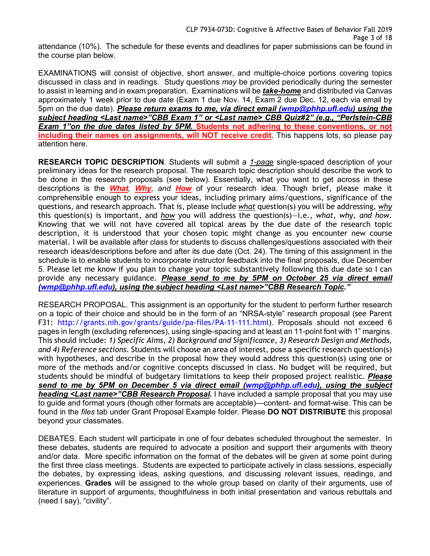attendance (10%). The schedule for these events and deadlines for paper submissions can be found in the course plan below.

EXAMINATIONS will consist of objective, short answer, and multiple-choice portions covering topics discussed in class and in readings. Study questions *may* be provided periodically during the semester to assist in learning and in exam preparation. Examinations will be *take-home* and distributed via Canvas approximately 1 week prior to due date (Exam 1 due Nov. 14, Exam 2 due Dec. 12, each via email by 5pm on the due date). *Please return exams to me, via direct email (wmp@phhp.ufl.edu) using the subject heading <Last name>"CBB Exam 1" or <Last name> CBB Quiz#2" (e.g., "Perlstein-CBB Exam 1"on the due dates listed by 5PM.* **Students not adhering to these conventions, or not including their names on assignments, will NOT receive credit.** This happens lots, so please pay attention here.

**RESEARCH TOPIC DESCRIPTION**. Students will submit a *1-page* single-spaced description of your preliminary ideas for the research proposal. The research topic description should describe the work to be done in the research proposals (see below). Essentially, what you want to get across in these descriptions is the *What, Why, and How* of your research idea. Though brief, please make it comprehensible enough to express your ideas, including primary aims/questions, significance of the questions, and research approach. That is, please include *what* question(s) you will be addressing, *why* this question(s) is important, and *how* you will address the question(s)—i.e., *what, why, and how*. Knowing that we will not have covered all topical areas by the due date of the research topic description, it is understood that your chosen topic might change as you encounter new course material. I will be available after class for students to discuss challenges/questions associated with their research ideas/descriptions before and after its due date (Oct. 24). The timing of this assignment in the schedule is to enable students to incorporate instructor feedback into the final proposals, due December 5. Please let me know if you plan to change your topic substantively following this due date so I can provide any necessary guidance. *Please send to me by 5PM on October 25 via direct email (wmp@phhp.ufl.edu), using the subject heading <Last name>"CBB Research Topic."*

RESEARCH PROPOSAL. This assignment is an opportunity for the student to perform further research on a topic of their choice and should be in the form of an "NRSA-style" research proposal (see Parent F31: http://grants.nih.gov/grants/guide/pa-files/PA-11-111.html). Proposals should not exceed 6 pages in length (excluding references), using single-spacing and at least an 11-point font with 1" margins. This should include: *1) Specific Aims, 2) Background and Significance, 3) Research Design and Methods, and 4) Reference sections*. Students will choose an area of interest, pose a specific research question(s) with hypotheses, and describe in the proposal how they would address this question(s) using one or more of the methods and/or cognitive concepts discussed in class. No budget will be required, but students should be mindful of budgetary limitations to keep their proposed project realistic. *Please send to me by 5PM on December 5 via direct email (wmp@phhp.ufl.edu), using the subject heading <Last name>"CBB Research Proposal.* I have included a sample proposal that you may use to guide and format yours (though other formats are acceptable)—content- and format-wise. This can be found in the *files* tab under Grant Proposal Example folder. Please **DO NOT DISTRIBUTE** this proposal beyond your classmates.

DEBATES. Each student will participate in one of four debates scheduled throughout the semester. In these debates, students are required to advocate a position and support their arguments with theory and/or data. More specific information on the format of the debates will be given at some point during the first three class meetings. Students are expected to participate actively in class sessions, especially the debates, by expressing ideas, asking questions, and discussing relevant issues, readings, and experiences. **Grades** will be assigned to the whole group based on clarity of their arguments, use of literature in support of arguments, thoughtfulness in both initial presentation and various rebuttals and (need I say), "civility".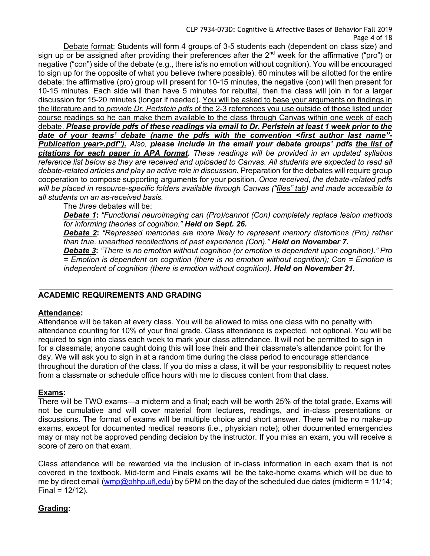Debate format: Students will form 4 groups of 3-5 students each (dependent on class size) and sign up or be assigned after providing their preferences after the 2<sup>nd</sup> week for the affirmative ("pro") or negative ("con") side of the debate (e.g., there is/is no emotion without cognition). You will be encouraged to sign up for the opposite of what you believe (where possible). 60 minutes will be allotted for the entire debate; the affirmative (pro) group will present for 10-15 minutes, the negative (con) will then present for 10-15 minutes. Each side will then have 5 minutes for rebuttal, then the class will join in for a larger discussion for 15-20 minutes (longer if needed). You will be asked to base your arguments on findings in the literature and to *provide Dr. Perlstein pdfs* of the 2-3 references you use outside of those listed under course readings so he can make them available to the class through Canvas within one week of each debate. *Please provide pdfs of these readings via email to Dr. Perlstein at least 1 week prior to the date of your teams' debate (name the pdfs with the convention <first author last name"- Publication year>.pdf"). Also, please include in the email your debate groups' pdfs the list of citations for each paper in APA format. These readings will be provided in an updated syllabus reference list below as they are received and uploaded to Canvas. All students are expected to read all debate-related articles and play an active role in discussion.* Preparation for the debates will require group cooperation to compose supporting arguments for your position. *Once received, the debate-related pdfs will be placed in resource-specific folders available through Canvas ("files" tab) and made accessible to all students on an as-received basis.*

The *three* debates will be:

*Debate 1***:** *"Functional neuroimaging can (Pro)/cannot (Con) completely replace lesion methods for informing theories of cognition." Held on Sept. 26.*

*Debate 2***:** *"Repressed memories are more likely to represent memory distortions (Pro) rather than true, unearthed recollections of past experience (Con)." Held on November 7.*

*Debate 3***:** *"There is no emotion without cognition (or emotion is dependent upon cognition)." Pro = Emotion is dependent on cognition (there is no emotion without cognition); Con = Emotion is independent of cognition (there is emotion without cognition). Held on November 21.*

## **ACADEMIC REQUIREMENTS AND GRADING**

### **Attendance:**

Attendance will be taken at every class. You will be allowed to miss one class with no penalty with attendance counting for 10% of your final grade. Class attendance is expected, not optional. You will be required to sign into class each week to mark your class attendance. It will not be permitted to sign in for a classmate; anyone caught doing this will lose their and their classmate's attendance point for the day. We will ask you to sign in at a random time during the class period to encourage attendance throughout the duration of the class. If you do miss a class, it will be your responsibility to request notes from a classmate or schedule office hours with me to discuss content from that class.

### **Exams:**

There will be TWO exams—a midterm and a final; each will be worth 25% of the total grade. Exams will not be cumulative and will cover material from lectures, readings, and in-class presentations or discussions. The format of exams will be multiple choice and short answer. There will be no make-up exams, except for documented medical reasons (i.e., physician note); other documented emergencies may or may not be approved pending decision by the instructor. If you miss an exam, you will receive a score of zero on that exam.

Class attendance will be rewarded via the inclusion of in-class information in each exam that is not covered in the textbook. Mid-term and Finals exams will be the take-home exams which will be due to me by direct email (wmp@phhp.ufl,edu) by 5PM on the day of the scheduled due dates (midterm = 11/14;  $Final = 12/12$ ).

## **Grading:**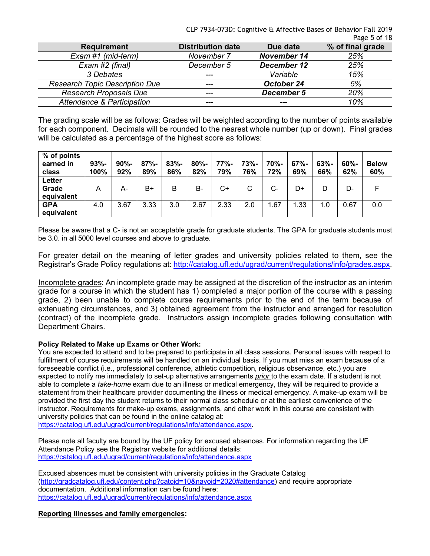CLP 7934-073D: Cognitive & Affective Bases of Behavior Fall 2019 Page 5 of 18

|                                       |                          |                    | טו וט כ-סצט      |
|---------------------------------------|--------------------------|--------------------|------------------|
| <b>Requirement</b>                    | <b>Distribution date</b> | Due date           | % of final grade |
| Exam #1 (mid-term)                    | November 7               | <b>November 14</b> | 25%              |
| Exam #2 (final)                       | December 5               | December 12        | 25%              |
| 3 Debates                             | ---                      | Variable           | 15%              |
| <b>Research Topic Description Due</b> | ---                      | October 24         | 5%               |
| <b>Research Proposals Due</b>         | ---                      | December 5         | 20%              |
| Attendance & Participation            | ---                      |                    | 10%              |

The grading scale will be as follows: Grades will be weighted according to the number of points available for each component. Decimals will be rounded to the nearest whole number (up or down). Final grades will be calculated as a percentage of the highest score as follows:

| % of points<br>earned in<br>class | $93% -$<br>100% | $90% -$<br>92% | $87% -$<br>89% | $83% -$<br>86% | $80% -$<br>82% | 77%-<br>79% | $73% -$<br>76% | 70%-<br>72% | $67% -$<br>69% | $63% -$<br>66% | $60% -$<br>62% | <b>Below</b><br>60% |
|-----------------------------------|-----------------|----------------|----------------|----------------|----------------|-------------|----------------|-------------|----------------|----------------|----------------|---------------------|
| Letter<br>Grade<br>equivalent     | A               | А-             | B+             | B              | <b>B-</b>      | C+          | C              | $C-$        | D+             | D              | D-             |                     |
| <b>GPA</b><br>equivalent          | 4.0             | 3.67           | 3.33           | 3.0            | 2.67           | 2.33        | 2.0            | 1.67        | 1.33           | 1.0            | 0.67           | 0.0                 |

Please be aware that a C- is not an acceptable grade for graduate students. The GPA for graduate students must be 3.0. in all 5000 level courses and above to graduate.

For greater detail on the meaning of letter grades and university policies related to them, see the Registrar's Grade Policy regulations at: http://catalog.ufl.edu/ugrad/current/regulations/info/grades.aspx.

Incomplete grades: An incomplete grade may be assigned at the discretion of the instructor as an interim grade for a course in which the student has 1) completed a major portion of the course with a passing grade, 2) been unable to complete course requirements prior to the end of the term because of extenuating circumstances, and 3) obtained agreement from the instructor and arranged for resolution (contract) of the incomplete grade. Instructors assign incomplete grades following consultation with Department Chairs.

### **Policy Related to Make up Exams or Other Work:**

You are expected to attend and to be prepared to participate in all class sessions. Personal issues with respect to fulfillment of course requirements will be handled on an individual basis. If you must miss an exam because of a foreseeable conflict (i.e., professional conference, athletic competition, religious observance, etc.) you are expected to notify me immediately to set-up alternative arrangements *prior* to the exam date. If a student is not able to complete a *take-home* exam due to an illness or medical emergency, they will be required to provide a statement from their healthcare provider documenting the illness or medical emergency. A make-up exam will be provided the first day the student returns to their normal class schedule or at the earliest convenience of the instructor. Requirements for make-up exams, assignments, and other work in this course are consistent with university policies that can be found in the online catalog at:

https://catalog.ufl.edu/ugrad/current/regulations/info/attendance.aspx.

Please note all faculty are bound by the UF policy for excused absences. For information regarding the UF Attendance Policy see the Registrar website for additional details: https://catalog.ufl.edu/ugrad/current/regulations/info/attendance.aspx

Excused absences must be consistent with university policies in the Graduate Catalog (http://gradcatalog.ufl.edu/content.php?catoid=10&navoid=2020#attendance) and require appropriate documentation. Additional information can be found here: https://catalog.ufl.edu/ugrad/current/regulations/info/attendance.aspx

**Reporting illnesses and family emergencies:**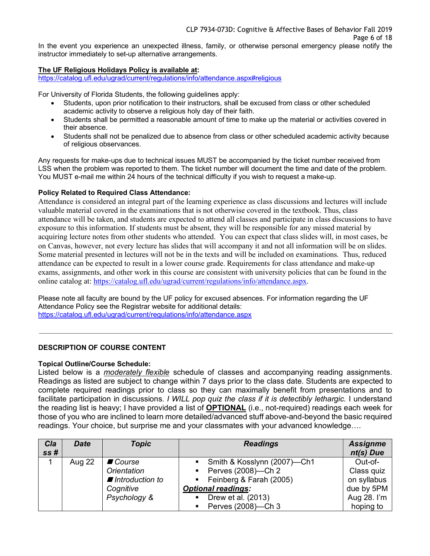**The UF Religious Holidays Policy is available at:**

instructor immediately to set-up alternative arrangements.

https://catalog.ufl.edu/ugrad/current/regulations/info/attendance.aspx#religious

For University of Florida Students, the following guidelines apply:

- Students, upon prior notification to their instructors, shall be excused from class or other scheduled academic activity to observe a religious holy day of their faith.
- Students shall be permitted a reasonable amount of time to make up the material or activities covered in their absence.
- Students shall not be penalized due to absence from class or other scheduled academic activity because of religious observances.

Any requests for make-ups due to technical issues MUST be accompanied by the ticket number received from LSS when the problem was reported to them. The ticket number will document the time and date of the problem. You MUST e-mail me within 24 hours of the technical difficulty if you wish to request a make-up.

#### **Policy Related to Required Class Attendance:**

Attendance is considered an integral part of the learning experience as class discussions and lectures will include valuable material covered in the examinations that is not otherwise covered in the textbook. Thus, class attendance will be taken, and students are expected to attend all classes and participate in class discussions to have exposure to this information. If students must be absent, they will be responsible for any missed material by acquiring lecture notes from other students who attended. You can expect that class slides will, in most cases, be on Canvas, however, not every lecture has slides that will accompany it and not all information will be on slides. Some material presented in lectures will not be in the texts and will be included on examinations. Thus, reduced attendance can be expected to result in a lower course grade. Requirements for class attendance and make-up exams, assignments, and other work in this course are consistent with university policies that can be found in the online catalog at: https://catalog.ufl.edu/ugrad/current/regulations/info/attendance.aspx.

Please note all faculty are bound by the UF policy for excused absences. For information regarding the UF Attendance Policy see the Registrar website for additional details: https://catalog.ufl.edu/ugrad/current/regulations/info/attendance.aspx

#### **DESCRIPTION OF COURSE CONTENT**

#### **Topical Outline/Course Schedule:**

Listed below is a *moderately flexible* schedule of classes and accompanying reading assignments. Readings as listed are subject to change within 7 days prior to the class date. Students are expected to complete required readings prior to class so they can maximally benefit from presentations and to facilitate participation in discussions. *I WILL pop quiz the class if it is detectibly lethargic.* I understand the reading list is heavy; I have provided a list of **OPTIONAL** (i.e., not-required) readings each week for those of you who are inclined to learn more detailed/advanced stuff above-and-beyond the basic required readings. Your choice, but surprise me and your classmates with your advanced knowledge….

| Cla<br>ss# | <b>Date</b> | <b>Topic</b>       | <b>Readings</b>                        | <b>Assignme</b><br>nt(s) Due |
|------------|-------------|--------------------|----------------------------------------|------------------------------|
|            | Aug 22      | ■ Course           | • Smith & Kosslynn (2007)-Ch1          | Out-of-                      |
|            |             | <b>Orientation</b> | Perves $(2008)$ —Ch 2                  | Class quiz                   |
|            |             | ■ Introduction to  | • Feinberg & Farah (2005)              | on syllabus                  |
|            |             | Cognitive          | <b>Optional readings:</b>              | due by 5PM                   |
|            |             | Psychology &       | Drew et al. (2013)<br>$\blacksquare$ . | Aug 28. I'm                  |
|            |             |                    | Perves (2008)-Ch 3<br>$\mathbf{m}$     | hoping to                    |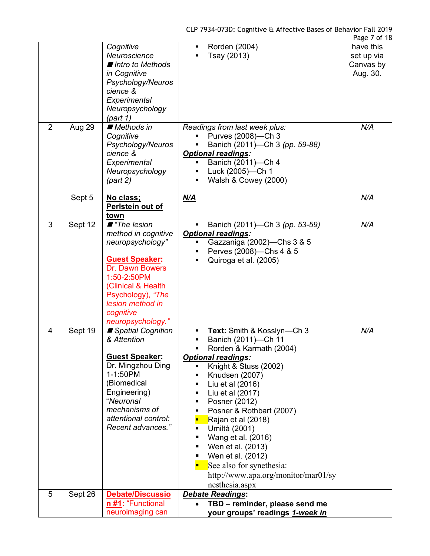|                |         |                                                                                                                                                                                                                      |                                                                                                                                                                                                                                                                                                                                                                                                                                                                                         | Page 7 of 18                                     |
|----------------|---------|----------------------------------------------------------------------------------------------------------------------------------------------------------------------------------------------------------------------|-----------------------------------------------------------------------------------------------------------------------------------------------------------------------------------------------------------------------------------------------------------------------------------------------------------------------------------------------------------------------------------------------------------------------------------------------------------------------------------------|--------------------------------------------------|
|                |         | Cognitive<br>Neuroscience<br>■ Intro to Methods<br>in Cognitive<br>Psychology/Neuros<br>cience &<br>Experimental<br>Neuropsychology<br>(part 1)                                                                      | Rorden (2004)<br>Tsay (2013)                                                                                                                                                                                                                                                                                                                                                                                                                                                            | have this<br>set up via<br>Canvas by<br>Aug. 30. |
| $\overline{2}$ | Aug 29  | ■ Methods in<br>Cognitive<br>Psychology/Neuros<br>cience &<br>Experimental<br>Neuropsychology<br>(part 2)                                                                                                            | Readings from last week plus:<br>Purves (2008)-Ch 3<br>Banich (2011)—Ch 3 (pp. 59-88)<br><b>Optional readings:</b><br>Banich (2011)-Ch 4<br>Ξ<br>Luck (2005)-Ch 1<br>Walsh & Cowey (2000)<br>$\blacksquare$                                                                                                                                                                                                                                                                             | N/A                                              |
|                | Sept 5  | No class;<br>Perlstein out of<br>town                                                                                                                                                                                | <u>N/A</u>                                                                                                                                                                                                                                                                                                                                                                                                                                                                              | N/A                                              |
| 3              | Sept 12 | ■ "The lesion<br>method in cognitive<br>neuropsychology"<br><b>Guest Speaker:</b><br>Dr. Dawn Bowers<br>1:50-2:50PM<br>(Clinical & Health<br>Psychology), "The<br>lesion method in<br>cognitive<br>neuropsychology." | Banich (2011)—Ch 3 (pp. 53-59)<br><b>Optional readings:</b><br>Gazzaniga (2002)-Chs 3 & 5<br>Perves (2008)—Chs 4 & 5<br>Quiroga et al. (2005)                                                                                                                                                                                                                                                                                                                                           | N/A                                              |
| 4              | Sept 19 | Spatial Cognition<br>& Attention<br><b>Guest Speaker:</b><br>Dr. Mingzhou Ding<br>1-1:50PM<br>(Biomedical<br>Engineering)<br>"Neuronal<br>mechanisms of<br>attentional control:<br>Recent advances."                 | Text: Smith & Kosslyn-Ch 3<br>Ξ<br>Banich (2011)-Ch 11<br>Rorden & Karmath (2004)<br><b>Optional readings:</b><br>Knight & Stuss (2002)<br>٠<br>Knudsen (2007)<br>٠<br>Liu et al (2016)<br>٠<br>Liu et al (2017)<br>٠<br>Posner (2012)<br>٠<br>Posner & Rothbart (2007)<br>٠<br>Rajan et al (2018)<br>Umiltà (2001)<br>٠<br>Wang et al. (2016)<br>٠<br>Wen et al. (2013)<br>٠<br>Wen et al. (2012)<br>See also for synethesia:<br>http://www.apa.org/monitor/mar01/sy<br>nesthesia.aspx | N/A                                              |
| 5              | Sept 26 | Debate/Discussio<br>n #1: "Functional<br>neuroimaging can                                                                                                                                                            | <b>Debate Readings:</b><br>TBD - reminder, please send me<br>$\bullet$<br>your groups' readings 1-week in                                                                                                                                                                                                                                                                                                                                                                               |                                                  |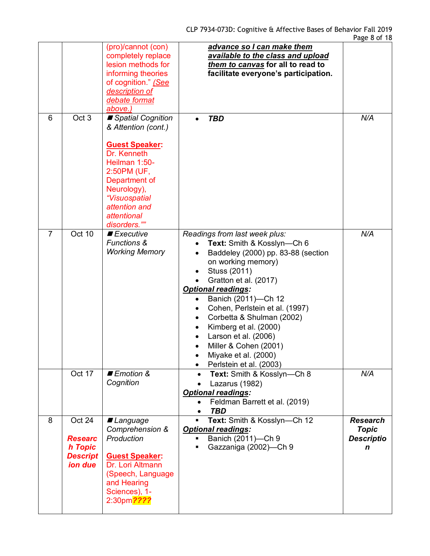|                |                                                                   | (pro)/cannot (con)<br>completely replace<br>lesion methods for<br>informing theories<br>of cognition." (See<br>description of<br>debate format<br>above.)                                                         | advance so I can make them<br>available to the class and upload<br>them to canvas for all to read to<br>facilitate everyone's participation.                                                                                                                                                                                                                                                                     |                                                           |
|----------------|-------------------------------------------------------------------|-------------------------------------------------------------------------------------------------------------------------------------------------------------------------------------------------------------------|------------------------------------------------------------------------------------------------------------------------------------------------------------------------------------------------------------------------------------------------------------------------------------------------------------------------------------------------------------------------------------------------------------------|-----------------------------------------------------------|
| 6              | Oct 3                                                             | Spatial Cognition<br>& Attention (cont.)<br><b>Guest Speaker:</b><br>Dr. Kenneth<br>Heilman 1:50-<br>2:50PM (UF,<br>Department of<br>Neurology),<br>"Visuospatial<br>attention and<br>attentional<br>disorders."" | <b>TBD</b>                                                                                                                                                                                                                                                                                                                                                                                                       | N/A                                                       |
| $\overline{7}$ | Oct 10                                                            | $\blacksquare$ Executive<br><b>Functions &amp;</b><br><b>Working Memory</b>                                                                                                                                       | Readings from last week plus:<br>Text: Smith & Kosslyn-Ch 6<br>Baddeley (2000) pp. 83-88 (section<br>on working memory)<br>Stuss (2011)<br>Gratton et al. (2017)<br><b>Optional readings:</b><br>Banich (2011)-Ch 12<br>Cohen, Perlstein et al. (1997)<br>Corbetta & Shulman (2002)<br>Kimberg et al. (2000)<br>Larson et al. (2006)<br>Miller & Cohen (2001)<br>Miyake et al. (2000)<br>Perlstein et al. (2003) | N/A                                                       |
|                | Oct 17                                                            | ■ Emotion &<br>Cognition                                                                                                                                                                                          | Text: Smith & Kosslyn-Ch 8<br>Lazarus (1982)<br><b>Optional readings:</b><br>Feldman Barrett et al. (2019)<br><b>TBD</b>                                                                                                                                                                                                                                                                                         | N/A                                                       |
| 8              | Oct 24<br><b>Researc</b><br>h Topic<br><b>Descript</b><br>ion due | ■ Language<br>Comprehension &<br>Production<br><b>Guest Speaker:</b><br>Dr. Lori Altmann<br>(Speech, Language<br>and Hearing<br>Sciences), 1-<br>2:30pm <sup>2222</sup>                                           | Text: Smith & Kosslyn-Ch 12<br><b>Optional readings:</b><br>Banich (2011)-Ch 9<br>Gazzaniga (2002)—Ch 9                                                                                                                                                                                                                                                                                                          | <b>Research</b><br><b>Topic</b><br><b>Descriptio</b><br>n |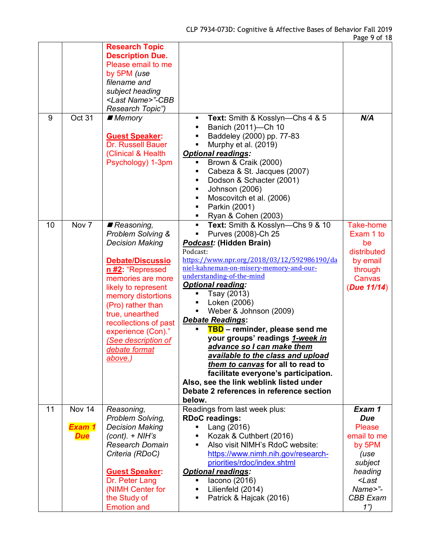|    |                                | <b>Research Topic</b><br><b>Description Due.</b><br>Please email to me<br>by 5PM (use<br>filename and<br>subject heading<br><last name="">"-CBB<br/>Research Topic")</last>                                                                                                                                          |                                                                                                                                                                                                                                                                                                                                                                                                                                                                                                                                                                                                                                                                       |                                                                                                                                                           |
|----|--------------------------------|----------------------------------------------------------------------------------------------------------------------------------------------------------------------------------------------------------------------------------------------------------------------------------------------------------------------|-----------------------------------------------------------------------------------------------------------------------------------------------------------------------------------------------------------------------------------------------------------------------------------------------------------------------------------------------------------------------------------------------------------------------------------------------------------------------------------------------------------------------------------------------------------------------------------------------------------------------------------------------------------------------|-----------------------------------------------------------------------------------------------------------------------------------------------------------|
| 9  | Oct 31                         | ■ Memory<br><b>Guest Speaker:</b><br>Dr. Russell Bauer<br>(Clinical & Health<br>Psychology) 1-3pm                                                                                                                                                                                                                    | Text: Smith & Kosslyn-Chs 4 & 5<br>٠<br>Banich (2011)-Ch 10<br>$\blacksquare$<br>Baddeley (2000) pp. 77-83<br>Murphy et al. (2019)<br><b>Optional readings:</b><br>Brown & Craik (2000)<br>Cabeza & St. Jacques (2007)<br>Dodson & Schacter (2001)<br>Johnson (2006)<br>٠<br>Moscovitch et al. (2006)<br>٠<br>Parkin (2001)<br>$\blacksquare$<br>Ryan & Cohen (2003)<br>٠                                                                                                                                                                                                                                                                                             | N/A                                                                                                                                                       |
| 10 | Nov 7                          | Reasoning,<br>Problem Solving &<br><b>Decision Making</b><br>Debate/Discussio<br>n #2: "Repressed<br>memories are more<br>likely to represent<br>memory distortions<br>(Pro) rather than<br>true, unearthed<br>recollections of past<br>experience (Con)."<br>(See description of<br>debate format<br><u>above.)</u> | Text: Smith & Kosslyn-Chs 9 & 10<br>٠<br>Purves (2008)-Ch 25<br>Podcast: (Hidden Brain)<br>Podcast:<br>https://www.npr.org/2018/03/12/592986190/da<br>niel-kahneman-on-misery-memory-and-our-<br>understanding-of-the-mind<br><b>Optional reading:</b><br>Tsay (2013)<br>Loken (2006)<br>٠<br>Weber & Johnson (2009)<br><b>Debate Readings:</b><br>TBD - reminder, please send me<br>your groups' readings 1-week in<br>advance so I can make them<br>available to the class and upload<br>them to canvas for all to read to<br>facilitate everyone's participation.<br>Also, see the link weblink listed under<br>Debate 2 references in reference section<br>below. | <b>Take-home</b><br>Exam 1 to<br>be<br>distributed<br>by email<br>through<br>Canvas<br>(Due 11/14)                                                        |
| 11 | Nov 14<br>Exam 1<br><b>Due</b> | Reasoning,<br>Problem Solving,<br><b>Decision Making</b><br>$(cont). + NIH's$<br><b>Research Domain</b><br>Criteria (RDoC)<br><b>Guest Speaker:</b><br>Dr. Peter Lang<br>(NIMH Center for<br>the Study of<br><b>Emotion and</b>                                                                                      | Readings from last week plus:<br><b>RDoC</b> readings:<br>Lang (2016)<br>Kozak & Cuthbert (2016)<br>Also visit NIMH's RdoC website:<br>https://www.nimh.nih.gov/research-<br>priorities/rdoc/index.shtml<br><b>Optional readings:</b><br>lacono (2016)<br>Lilienfeld (2014)<br>$\blacksquare$<br>Patrick & Hajcak (2016)                                                                                                                                                                                                                                                                                                                                              | Exam 1<br><b>Due</b><br><b>Please</b><br>email to me<br>by 5PM<br>(use<br>subject<br>heading<br><last<br>Name&gt;"-<br/><b>CBB</b> Exam<br/>1")</last<br> |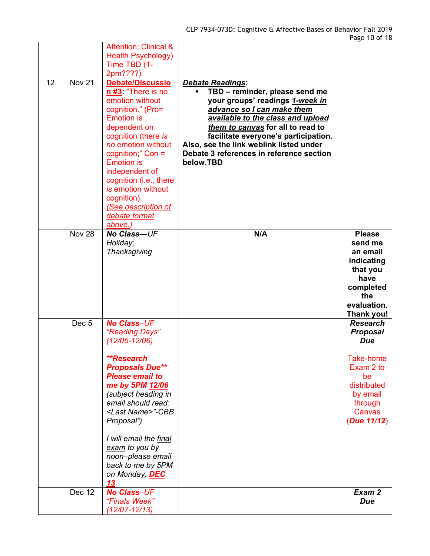| 12 | <b>Nov 21</b>    | <b>Attention; Clinical &amp;</b><br><b>Health Psychology)</b><br>Time TBD (1-<br>2pm????)<br>Debate/Discussio<br>$n#3$ : "There is no<br>emotion without<br>cognition." (Pro=                                                                                                                                                                                | <b>Debate Readings:</b><br>TBD - reminder, please send me<br>your groups' readings 1-week in<br>advance so I can make them                                                                                         |                                                                                                                                          |
|----|------------------|--------------------------------------------------------------------------------------------------------------------------------------------------------------------------------------------------------------------------------------------------------------------------------------------------------------------------------------------------------------|--------------------------------------------------------------------------------------------------------------------------------------------------------------------------------------------------------------------|------------------------------------------------------------------------------------------------------------------------------------------|
|    |                  | <b>Emotion</b> is<br>dependent on<br>cognition (there is<br>no emotion without<br>cognition;" $Con =$<br><b>Emotion is</b><br>independent of<br>cognition (i.e., there<br>is emotion without<br>cognition).<br>(See description of<br>debate format<br>above.)                                                                                               | available to the class and upload<br>them to canvas for all to read to<br>facilitate everyone's participation.<br>Also, see the link weblink listed under<br>Debate 3 references in reference section<br>below.TBD |                                                                                                                                          |
|    | <b>Nov 28</b>    | No Class-UF<br>Holiday;<br>Thanksgiving                                                                                                                                                                                                                                                                                                                      | N/A                                                                                                                                                                                                                | <b>Please</b><br>send me<br>an email<br>indicating<br>that you<br>have<br>completed<br>the<br>evaluation.<br>Thank you!                  |
|    | Dec <sub>5</sub> | <b>No Class-UF</b><br>"Reading Days"<br>$(12/05 - 12/06)$<br>**Research<br><b>Proposals Due**</b><br><b>Please email to</b><br>me by 5PM 12/06<br>(subject heading in<br>email should read:<br><last name="">"-CBB<br/>Proposal")<br/>I will email the final<br/>exam to you by<br/>noon-please email<br/>back to me by 5PM<br/>on Monday, DEC<br/>13</last> |                                                                                                                                                                                                                    | <b>Research</b><br><b>Proposal</b><br>Due<br>Take-home<br>Exam 2 to<br>be<br>distributed<br>by email<br>through<br>Canvas<br>(Due 11/12) |
|    | <b>Dec 12</b>    | <b>No Class-UF</b><br>"Finals Week"<br>$(12/07 - 12/13)$                                                                                                                                                                                                                                                                                                     |                                                                                                                                                                                                                    | Exam 2<br><b>Due</b>                                                                                                                     |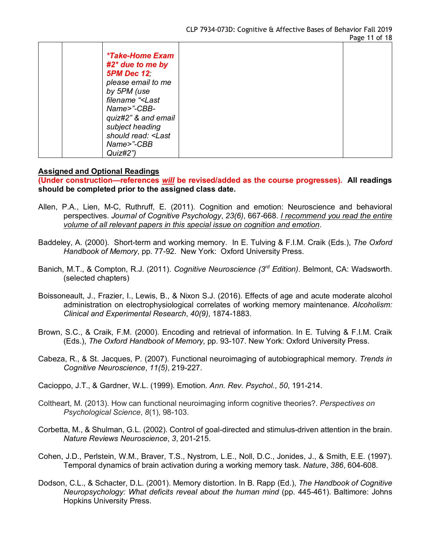| <i>*Take-Home Exam</i><br>$#2^*$ due to me by<br><b>5PM Dec 12</b><br>please email to me<br>by 5PM (use<br>filename " <last<br>Name&gt;"-CBB-<br/>quiz#2" &amp; and email<br/>subject heading<br/>should read: <last<br>Name&gt;"-CBB<br/>Quiz#2")</last<br></last<br> |  |  |
|------------------------------------------------------------------------------------------------------------------------------------------------------------------------------------------------------------------------------------------------------------------------|--|--|
|------------------------------------------------------------------------------------------------------------------------------------------------------------------------------------------------------------------------------------------------------------------------|--|--|

### **Assigned and Optional Readings**

**(Under construction—references** *will* **be revised/added as the course progresses). All readings should be completed prior to the assigned class date.**

- Allen, P.A., Lien, M-C, Ruthruff, E. (2011). Cognition and emotion: Neuroscience and behavioral perspectives. *Journal of Cognitive Psychology*, *23(6)*, 667-668. *I recommend you read the entire volume of all relevant papers in this special issue on cognition and emotion*.
- Baddeley, A. (2000). Short-term and working memory. In E. Tulving & F.I.M. Craik (Eds.), *The Oxford Handbook of Memory*, pp. 77-92. New York: Oxford University Press.
- Banich, M.T., & Compton, R.J. (2011). *Cognitive Neuroscience (3rd Edition)*. Belmont, CA: Wadsworth. (selected chapters)
- Boissoneault, J., Frazier, I., Lewis, B., & Nixon S.J. (2016). Effects of age and acute moderate alcohol administration on electrophysiological correlates of working memory maintenance. *Alcoholism: Clinical and Experimental Research*, *40(9)*, 1874-1883.
- Brown, S.C., & Craik, F.M. (2000). Encoding and retrieval of information. In E. Tulving & F.I.M. Craik (Eds.), *The Oxford Handbook of Memory*, pp. 93-107. New York: Oxford University Press.
- Cabeza, R., & St. Jacques, P. (2007). Functional neuroimaging of autobiographical memory. *Trends in Cognitive Neuroscience*, *11(5)*, 219-227.
- Cacioppo, J.T., & Gardner, W.L. (1999). Emotion. *Ann. Rev. Psychol.*, *50*, 191-214.
- Coltheart, M. (2013). How can functional neuroimaging inform cognitive theories?. *Perspectives on Psychological Science*, *8*(1), 98-103.
- Corbetta, M., & Shulman, G.L. (2002). Control of goal-directed and stimulus-driven attention in the brain. *Nature Reviews Neuroscience*, *3*, 201-215.
- Cohen, J.D., Perlstein, W.M., Braver, T.S., Nystrom, L.E., Noll, D.C., Jonides, J., & Smith, E.E. (1997). Temporal dynamics of brain activation during a working memory task. *Nature*, *386*, 604-608*.*
- Dodson, C.L., & Schacter, D.L. (2001). Memory distortion. In B. Rapp (Ed.), *The Handbook of Cognitive Neuropsychology: What deficits reveal about the human mind* (pp. 445-461). Baltimore: Johns Hopkins University Press.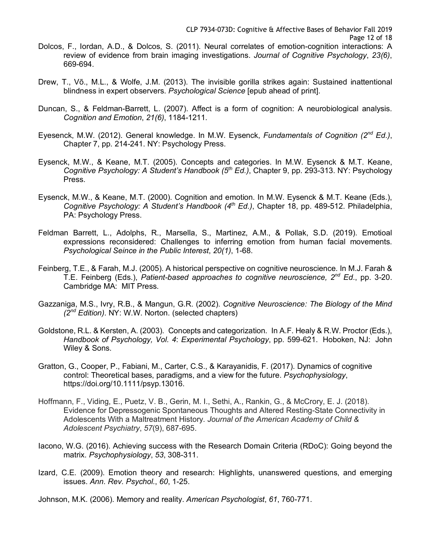- Dolcos, F., Iordan, A.D., & Dolcos, S. (2011). Neural correlates of emotion-cognition interactions: A review of evidence from brain imaging investigations. *Journal of Cognitive Psychology*, *23(6)*, 669-694.
- Drew, T., Võ., M.L., & Wolfe, J.M. (2013). The invisible gorilla strikes again: Sustained inattentional blindness in expert observers. *Psychological Science* [epub ahead of print].
- Duncan, S., & Feldman-Barrett, L. (2007). Affect is a form of cognition: A neurobiological analysis. *Cognition and Emotion*, *21(6)*, 1184-1211.
- Eyesenck, M.W. (2012). General knowledge. In M.W. Eysenck, *Fundamentals of Cognition (2nd Ed.)*, Chapter 7, pp. 214-241. NY: Psychology Press.
- Eysenck, M.W., & Keane, M.T. (2005). Concepts and categories. In M.W. Eysenck & M.T. Keane, *Cognitive Psychology: A Student's Handbook (5th Ed.)*, Chapter 9, pp. 293-313. NY: Psychology Press.
- Eysenck, M.W., & Keane, M.T. (2000). Cognition and emotion. In M.W. Eysenck & M.T. Keane (Eds.), *Cognitive Psychology: A Student's Handbook (4th Ed.)*, Chapter 18, pp. 489-512. Philadelphia, PA: Psychology Press.
- Feldman Barrett, L., Adolphs, R., Marsella, S., Martinez, A.M., & Pollak, S.D. (2019). Emotioal expressions reconsidered: Challenges to inferring emotion from human facial movements. *Psychological Seince in the Public Interest*, *20(1)*, 1-68.
- Feinberg, T.E., & Farah, M.J. (2005). A historical perspective on cognitive neuroscience. In M.J. Farah & T.E. Feinberg (Eds.), *Patient-based approaches to cognitive neuroscience, 2nd Ed.*, pp. 3-20. Cambridge MA: MIT Press.
- Gazzaniga, M.S., Ivry, R.B., & Mangun, G.R. (2002). *Cognitive Neuroscience: The Biology of the Mind (2nd Edition)*. NY: W.W. Norton. (selected chapters)
- Goldstone, R.L. & Kersten, A. (2003). Concepts and categorization. In A.F. Healy & R.W. Proctor (Eds.), *Handbook of Psychology, Vol. 4*: *Experimental Psychology*, pp. 599-621. Hoboken, NJ: John Wiley & Sons.
- Gratton, G., Cooper, P., Fabiani, M., Carter, C.S., & Karayanidis, F. (2017). Dynamics of cognitive control: Theoretical bases, paradigms, and a view for the future. *Psychophysiology*, https://doi.org/10.1111/psyp.13016.
- Hoffmann, F., Viding, E., Puetz, V. B., Gerin, M. I., Sethi, A., Rankin, G., & McCrory, E. J. (2018). Evidence for Depressogenic Spontaneous Thoughts and Altered Resting-State Connectivity in Adolescents With a Maltreatment History. *Journal of the American Academy of Child & Adolescent Psychiatry*, *57*(9), 687-695.
- Iacono, W.G. (2016). Achieving success with the Research Domain Criteria (RDoC): Going beyond the matrix. *Psychophysiology*, *53*, 308-311.
- Izard, C.E. (2009). Emotion theory and research: Highlights, unanswered questions, and emerging issues. *Ann. Rev. Psychol.*, *60*, 1-25.
- Johnson, M.K. (2006). Memory and reality. *American Psychologist*, *61*, 760-771.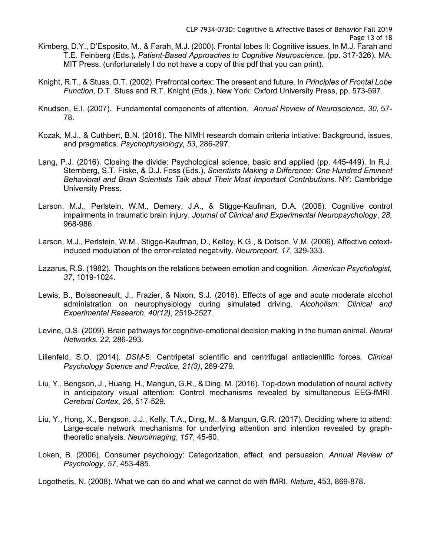Knight, R.T., & Stuss, D.T. (2002). Prefrontal cortex: The present and future. In *Principles of Frontal Lobe Function*, D.T. Stuss and R.T. Knight (Eds.), New York: Oxford University Press, pp. 573-597.

MIT Press. (unfortunately I do not have a copy of this pdf that you can print).

- Knudsen, E.I. (2007). Fundamental components of attention. *Annual Review of Neuroscience, 30*, 57- 78.
- Kozak, M.J., & Cuthbert, B.N. (2016). The NIMH research domain criteria intiative: Background, issues, and pragmatics. *Psychophysiology*, *53*, 286-297.
- Lang, P.J. (2016). Closing the divide: Psychological science, basic and applied (pp. 445-449). In R.J. Sternberg, S.T. Fiske, & D.J. Foss (Eds.), *Scientists Making a Difference: One Hundred Eminent Behavioral and Brain Scientists Talk about Their Most Important Contributions*. NY: Cambridge University Press.
- Larson, M.J., Perlstein, W.M., Demery, J.A., & Stigge-Kaufman, D.A. (2006). Cognitive control impairments in traumatic brain injury. *Journal of Clinical and Experimental Neuropsychology*, *28*, 968-986.
- Larson, M.J., Perlstein, W.M., Stigge-Kaufman, D., Kelley, K.G., & Dotson, V.M. (2006). Affective cotextinduced modulation of the error-related negativity. *Neuroreport*, *17*, 329-333.
- Lazarus, R.S. (1982). Thoughts on the relations between emotion and cognition. *American Psychologist, 37*, 1019-1024.
- Lewis, B., Boissoneault, J., Frazier, & Nixon, S.J. (2016). Effects of age and acute moderate alcohol administration on neurophysiology during simulated driving. *Alcoholism: Clinical and Experimental Research*, *40(12)*, 2519-2527.
- Levine, D.S. (2009). Brain pathways for cognitive-emotional decision making in the human animal. *Neural Networks*, 2*2*, 286-293.
- Lilienfeld, S.O. (2014). *DSM*-5: Centripetal scientific and centrifugal antiscientific forces. *Clinical Psychology Science and Practice*, *21(3)*, 269-279.
- Liu, Y., Bengson, J., Huang, H., Mangun, G.R., & Ding, M. (2016). Top-down modulation of neural activity in anticipatory visual attention: Control mechanisms revealed by simultaneous EEG-fMRI. *Cerebral Cortex*, *26*, 517-529.
- Liu, Y., Hong, X., Bengson, J.J., Kelly, T.A., Ding, M., & Mangun, G.R. (2017). Deciding where to attend: Large-scale network mechanisms for underlying attention and intention revealed by graphtheoretic analysis. *Neuroimaging*, *157*, 45-60.
- Loken, B. (2006). Consumer psychology: Categorization, affect, and persuasion. *Annual Review of Psychology*, *57*, 453-485.

Logothetis, N. (2008). What we can do and what we cannot do with fMRI. *Nature*, 453, 869-878.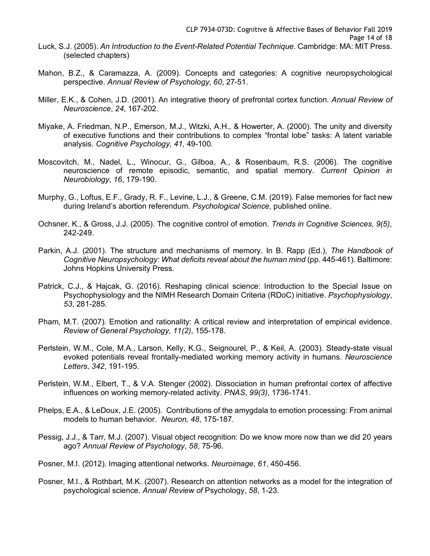- Luck, S.J. (2005). *An Introduction to the Event-Related Potential Technique*. Cambridge: MA: MIT Press. (selected chapters)
- Mahon, B.Z., & Caramazza, A. (2009). Concepts and categories: A cognitive neuropsychological perspective. *Annual Review of Psychology*, *60*, 27-51.
- Miller, E.K., & Cohen, J.D. (2001). An integrative theory of prefrontal cortex function. *Annual Review of Neuroscience*, *24*, 167-202.
- Miyake, A. Friedman, N.P., Emerson, M.J., Witzki, A.H., & Howerter, A. (2000). The unity and diversity of executive functions and their contributions to complex "frontal lobe" tasks: A latent variable analysis. *Cognitive Psychology, 41*, 49-100.
- Moscovitch, M., Nadel, L., Winocur, G., Gilboa, A., & Rosenbaum, R.S. (2006). The cognitive neuroscience of remote episodic, semantic, and spatial memory. *Current Opinion in Neurobiology*, *16*, 179-190.
- Murphy, G., Loftus, E.F., Grady, R. F., Levine, L.J., & Greene, C.M. (2019). False memories for fact new during Ireland's abortion referendum. *Psychological Science*, published online.
- Ochsner, K., & Gross, J.J. (2005). The cognitive control of emotion. *Trends in Cognitive Sciences*, *9(5)*, 242-249.
- Parkin, A.J. (2001). The structure and mechanisms of memory. In B. Rapp (Ed.), *The Handbook of Cognitive Neuropsychology: What deficits reveal about the human mind* (pp. 445-461). Baltimore: Johns Hopkins University Press.
- Patrick, C.J., & Hajcak, G. (2016). Reshaping clinical science: Introduction to the Special Issue on Psychophysiology and the NIMH Research Domain Criteria (RDoC) initiative. *Psychophysiology*, *53*, 281-285.
- Pham, M.T. (2007). Emotion and rationality: A critical review and interpretation of empirical evidence. *Review of General Psychology*, *11(2)*, 155-178.
- Perlstein, W.M., Cole, M.A., Larson, Kelly, K.G., Seignourel, P., & Keil, A. (2003). Steady-state visual evoked potentials reveal frontally-mediated working memory activity in humans. *Neuroscience Letters*, *342*, 191-195.
- Perlstein, W.M., Elbert, T., & V.A. Stenger (2002). Dissociation in human prefrontal cortex of affective influences on working memory-related activity. *PNAS*, *99(3)*, 1736-1741.
- Phelps, E.A., & LeDoux, J.E. (2005). Contributions of the amygdala to emotion processing: From animal models to human behavior. *Neuron, 48*, 175-187.
- Pessig, J.J., & Tarr, M.J. (2007). Visual object recognition: Do we know more now than we did 20 years ago? *Annual Review of Psychology*, *58*, 75-96.
- Posner, M.I. (2012). Imaging attentional networks. *Neuroimage*, *61*, 450-456.
- Posner, M.I., & Rothbart, M.K. (2007). Research on attention networks as a model for the integration of psychological science. *Annual Review of* Psychology, *58*, 1-23.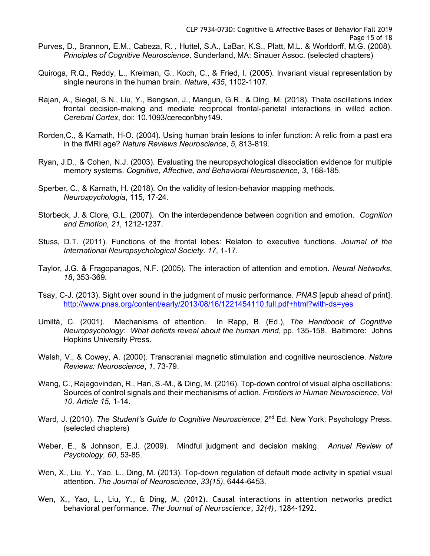- Quiroga, R.Q., Reddy, L., Kreiman, G., Koch, C., & Fried, I. (2005). Invariant visual representation by single neurons in the human brain. *Nature*, *435*, 1102-1107.
- Rajan, A., Siegel, S.N., Liu, Y., Bengson, J., Mangun, G.R., & Ding, M. (2018). Theta oscillations index frontal decision-making and mediate reciprocal frontal-parietal interactions in willed action. *Cerebral Cortex*, doi: 10.1093/cerecor/bhy149.
- Rorden,C., & Karnath, H-O. (2004). Using human brain lesions to infer function: A relic from a past era in the fMRI age? *Nature Reviews Neuroscience*, *5*, 813-819.
- Ryan, J.D., & Cohen, N.J. (2003). Evaluating the neuropsychological dissociation evidence for multiple memory systems. *Cognitive, Affective, and Behavioral Neuroscience*, *3*, 168-185.
- Sperber, C., & Karnath, H. (2018). On the validity of lesion-behavior mapping methods. *Neurospychologia*, 115, 17-24.
- Storbeck, J. & Clore, G.L. (2007). On the interdependence between cognition and emotion. *Cognition and Emotion, 21*, 1212-1237.
- Stuss, D.T. (2011). Functions of the frontal lobes: Relaton to executive functions. *Journal of the International Neuropsychological Society*. *17*, 1-17.
- Taylor, J.G. & Fragopanagos, N.F. (2005). The interaction of attention and emotion. *Neural Networks*, *18*, 353-369.
- Tsay, C-J. (2013). Sight over sound in the judgment of music performance. *PNAS* [epub ahead of print]. http://www.pnas.org/content/early/2013/08/16/1221454110.full.pdf+html?with-ds=yes
- Umiltà, C. (2001). Mechanisms of attention. In Rapp, B. (Ed.), *The Handbook of Cognitive Neuropsychology: What deficits reveal about the human mind*, pp. 135-158. Baltimore: Johns Hopkins University Press.
- Walsh, V., & Cowey, A. (2000). Transcranial magnetic stimulation and cognitive neuroscience. *Nature Reviews: Neuroscience*, *1*, 73-79.
- Wang, C., Rajagovindan, R., Han, S.-M., & Ding, M. (2016). Top-down control of visual alpha oscillations: Sources of control signals and their mechanisms of action. *Frontiers in Human Neuroscience*, *Vol 10, Article 15*, 1-14.
- Ward, J. (2010). *The Student's Guide to Cognitive Neuroscience*, 2<sup>nd</sup> Ed. New York: Psychology Press. (selected chapters)
- Weber, E., & Johnson, E.J. (2009). Mindful judgment and decision making. *Annual Review of Psychology, 60*, 53-85.
- Wen, X., Liu, Y., Yao, L., Ding, M. (2013). Top-down regulation of default mode activity in spatial visual attention. *The Journal of Neuroscience*, *33(15)*, 6444-6453.
- Wen, X., Yao, L., Liu, Y., & Ding, M. (2012). Causal interactions in attention networks predict behavioral performance. *The Journal of Neuroscience*, *32(4)*, 1284-1292.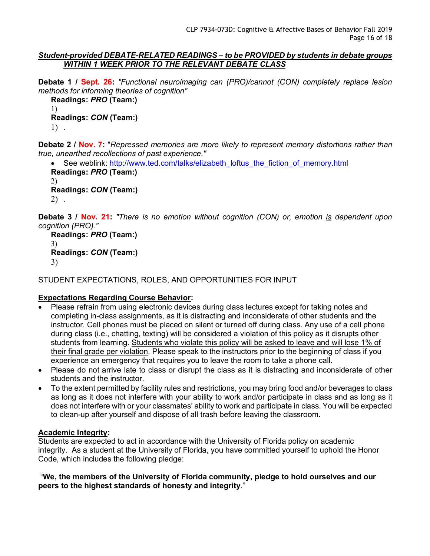### *Student-provided DEBATE-RELATED READINGS – to be PROVIDED by students in debate groups WITHIN 1 WEEK PRIOR TO THE RELEVANT DEBATE CLASS*

**Debate 1 / Sept. 26:** *"Functional neuroimaging can (PRO)/cannot (CON) completely replace lesion methods for informing theories of cognition"*

```
Readings: PRO (Team:)
1)
Readings: CON (Team:)
1) .
```
**Debate 2 / Nov. 7:** "*Repressed memories are more likely to represent memory distortions rather than true, unearthed recollections of past experience."*

• See weblink: http://www.ted.com/talks/elizabeth\_loftus\_the\_fiction\_of\_memory.html **Readings:** *PRO* **(Team:)** 2) **Readings:** *CON* **(Team:)** 2) .

**Debate 3 / Nov. 21:** *"There is no emotion without cognition (CON) or, emotion is dependent upon cognition (PRO)."*

```
Readings: PRO (Team:)
3)
Readings: CON (Team:)
3)
```
STUDENT EXPECTATIONS, ROLES, AND OPPORTUNITIES FOR INPUT

# **Expectations Regarding Course Behavior:**

- Please refrain from using electronic devices during class lectures except for taking notes and completing in-class assignments, as it is distracting and inconsiderate of other students and the instructor. Cell phones must be placed on silent or turned off during class. Any use of a cell phone during class (i.e., chatting, texting) will be considered a violation of this policy as it disrupts other students from learning. Students who violate this policy will be asked to leave and will lose 1% of their final grade per violation. Please speak to the instructors prior to the beginning of class if you experience an emergency that requires you to leave the room to take a phone call.
- Please do not arrive late to class or disrupt the class as it is distracting and inconsiderate of other students and the instructor.
- To the extent permitted by facility rules and restrictions, you may bring food and/or beverages to class as long as it does not interfere with your ability to work and/or participate in class and as long as it does not interfere with or your classmates' ability to work and participate in class. You will be expected to clean-up after yourself and dispose of all trash before leaving the classroom.

## **Academic Integrity:**

Students are expected to act in accordance with the University of Florida policy on academic integrity. As a student at the University of Florida, you have committed yourself to uphold the Honor Code, which includes the following pledge:

"**We, the members of the University of Florida community, pledge to hold ourselves and our peers to the highest standards of honesty and integrity**."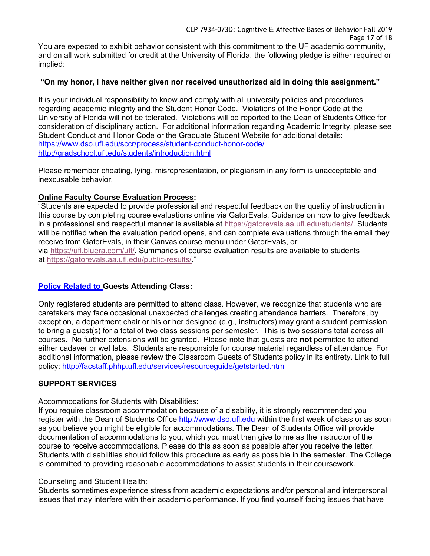You are expected to exhibit behavior consistent with this commitment to the UF academic community, and on all work submitted for credit at the University of Florida, the following pledge is either required or implied:

## **"On my honor, I have neither given nor received unauthorized aid in doing this assignment."**

It is your individual responsibility to know and comply with all university policies and procedures regarding academic integrity and the Student Honor Code. Violations of the Honor Code at the University of Florida will not be tolerated. Violations will be reported to the Dean of Students Office for consideration of disciplinary action. For additional information regarding Academic Integrity, please see Student Conduct and Honor Code or the Graduate Student Website for additional details: https://www.dso.ufl.edu/sccr/process/student-conduct-honor-code/ http://gradschool.ufl.edu/students/introduction.html

Please remember cheating, lying, misrepresentation, or plagiarism in any form is unacceptable and inexcusable behavior.

# **Online Faculty Course Evaluation Process:**

"Students are expected to provide professional and respectful feedback on the quality of instruction in this course by completing course evaluations online via GatorEvals. Guidance on how to give feedback in a professional and respectful manner is available at https://gatorevals.aa.ufl.edu/students/. Students will be notified when the evaluation period opens, and can complete evaluations through the email they receive from GatorEvals, in their Canvas course menu under GatorEvals, or via https://ufl.bluera.com/ufl/. Summaries of course evaluation results are available to students at https://gatorevals.aa.ufl.edu/public-results/."

# **Policy Related to Guests Attending Class:**

Only registered students are permitted to attend class. However, we recognize that students who are caretakers may face occasional unexpected challenges creating attendance barriers. Therefore, by exception, a department chair or his or her designee (e.g., instructors) may grant a student permission to bring a guest(s) for a total of two class sessions per semester. This is two sessions total across all courses. No further extensions will be granted. Please note that guests are **not** permitted to attend either cadaver or wet labs. Students are responsible for course material regardless of attendance. For additional information, please review the Classroom Guests of Students policy in its entirety. Link to full policy: http://facstaff.phhp.ufl.edu/services/resourceguide/getstarted.htm

# **SUPPORT SERVICES**

Accommodations for Students with Disabilities:

If you require classroom accommodation because of a disability, it is strongly recommended you register with the Dean of Students Office http://www.dso.ufl.edu within the first week of class or as soon as you believe you might be eligible for accommodations. The Dean of Students Office will provide documentation of accommodations to you, which you must then give to me as the instructor of the course to receive accommodations. Please do this as soon as possible after you receive the letter. Students with disabilities should follow this procedure as early as possible in the semester. The College is committed to providing reasonable accommodations to assist students in their coursework.

## Counseling and Student Health:

Students sometimes experience stress from academic expectations and/or personal and interpersonal issues that may interfere with their academic performance. If you find yourself facing issues that have